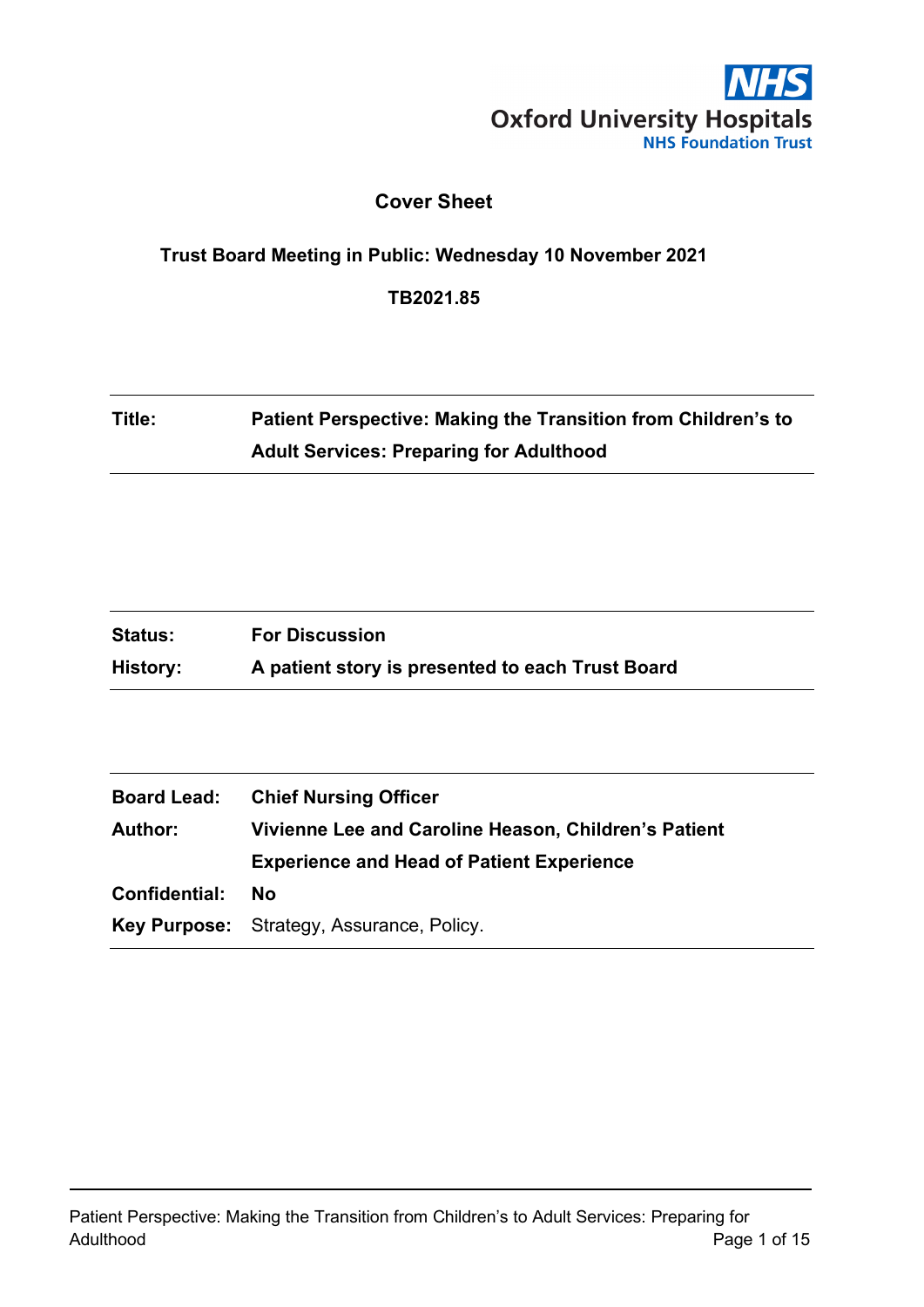

## **Cover Sheet**

#### **Trust Board Meeting in Public: Wednesday 10 November 2021**

**TB2021.85**

# **Title: Patient Perspective: Making the Transition from Children's to Adult Services: Preparing for Adulthood**

| <b>Status:</b> | <b>For Discussion</b>                            |
|----------------|--------------------------------------------------|
| History:       | A patient story is presented to each Trust Board |

| <b>Board Lead:</b> | <b>Chief Nursing Officer</b>                         |  |
|--------------------|------------------------------------------------------|--|
| <b>Author:</b>     | Vivienne Lee and Caroline Heason, Children's Patient |  |
|                    | <b>Experience and Head of Patient Experience</b>     |  |
| Confidential:      | No                                                   |  |
|                    | <b>Key Purpose:</b> Strategy, Assurance, Policy.     |  |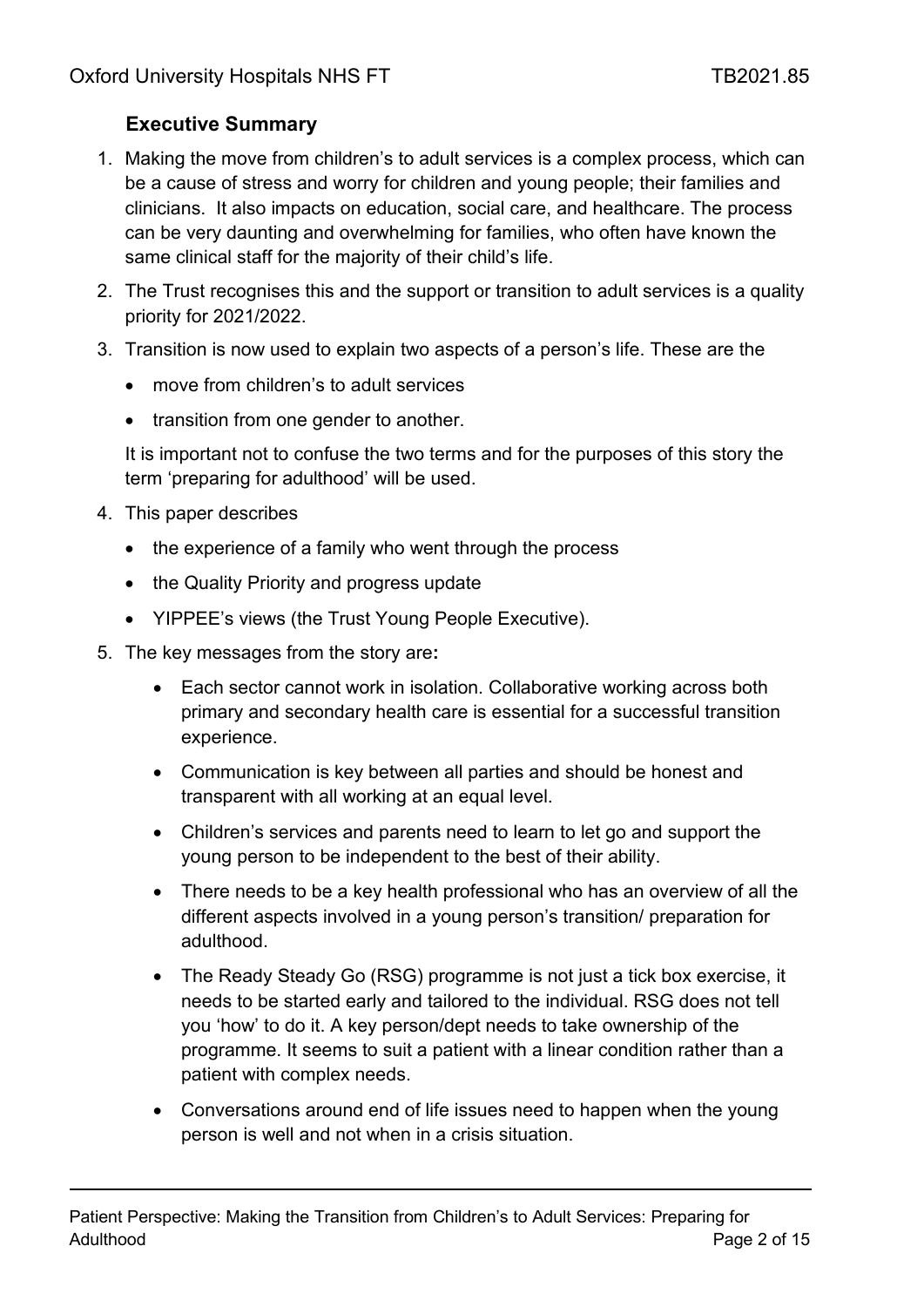# **Executive Summary**

- 1. Making the move from children's to adult services is a complex process, which can be a cause of stress and worry for children and young people; their families and clinicians. It also impacts on education, social care, and healthcare. The process can be very daunting and overwhelming for families, who often have known the same clinical staff for the majority of their child's life.
- 2. The Trust recognises this and the support or transition to adult services is a quality priority for 2021/2022.
- 3. Transition is now used to explain two aspects of a person's life. These are the
	- move from children's to adult services
	- transition from one gender to another.

It is important not to confuse the two terms and for the purposes of this story the term 'preparing for adulthood' will be used.

- 4. This paper describes
	- the experience of a family who went through the process
	- the Quality Priority and progress update
	- YIPPEE's views (the Trust Young People Executive).
- 5. The key messages from the story are**:** 
	- Each sector cannot work in isolation. Collaborative working across both primary and secondary health care is essential for a successful transition experience.
	- Communication is key between all parties and should be honest and transparent with all working at an equal level.
	- Children's services and parents need to learn to let go and support the young person to be independent to the best of their ability.
	- There needs to be a key health professional who has an overview of all the different aspects involved in a young person's transition/ preparation for adulthood.
	- The Ready Steady Go (RSG) programme is not just a tick box exercise, it needs to be started early and tailored to the individual. RSG does not tell you 'how' to do it. A key person/dept needs to take ownership of the programme. It seems to suit a patient with a linear condition rather than a patient with complex needs.
	- Conversations around end of life issues need to happen when the young person is well and not when in a crisis situation.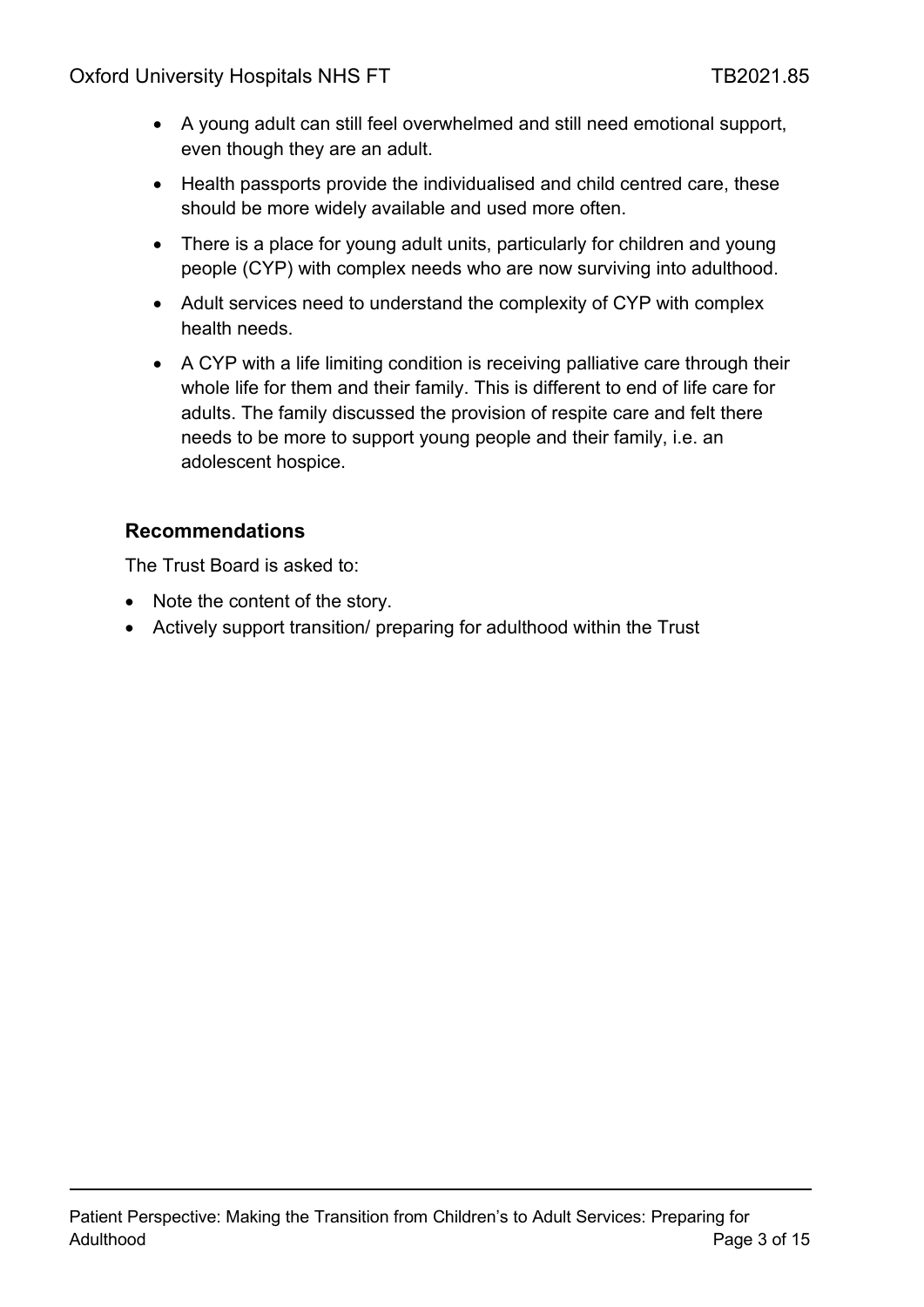- A young adult can still feel overwhelmed and still need emotional support, even though they are an adult.
- Health passports provide the individualised and child centred care, these should be more widely available and used more often.
- There is a place for young adult units, particularly for children and young people (CYP) with complex needs who are now surviving into adulthood.
- Adult services need to understand the complexity of CYP with complex health needs.
- A CYP with a life limiting condition is receiving palliative care through their whole life for them and their family. This is different to end of life care for adults. The family discussed the provision of respite care and felt there needs to be more to support young people and their family, i.e. an adolescent hospice.

## **Recommendations**

The Trust Board is asked to:

- Note the content of the story.
- Actively support transition/ preparing for adulthood within the Trust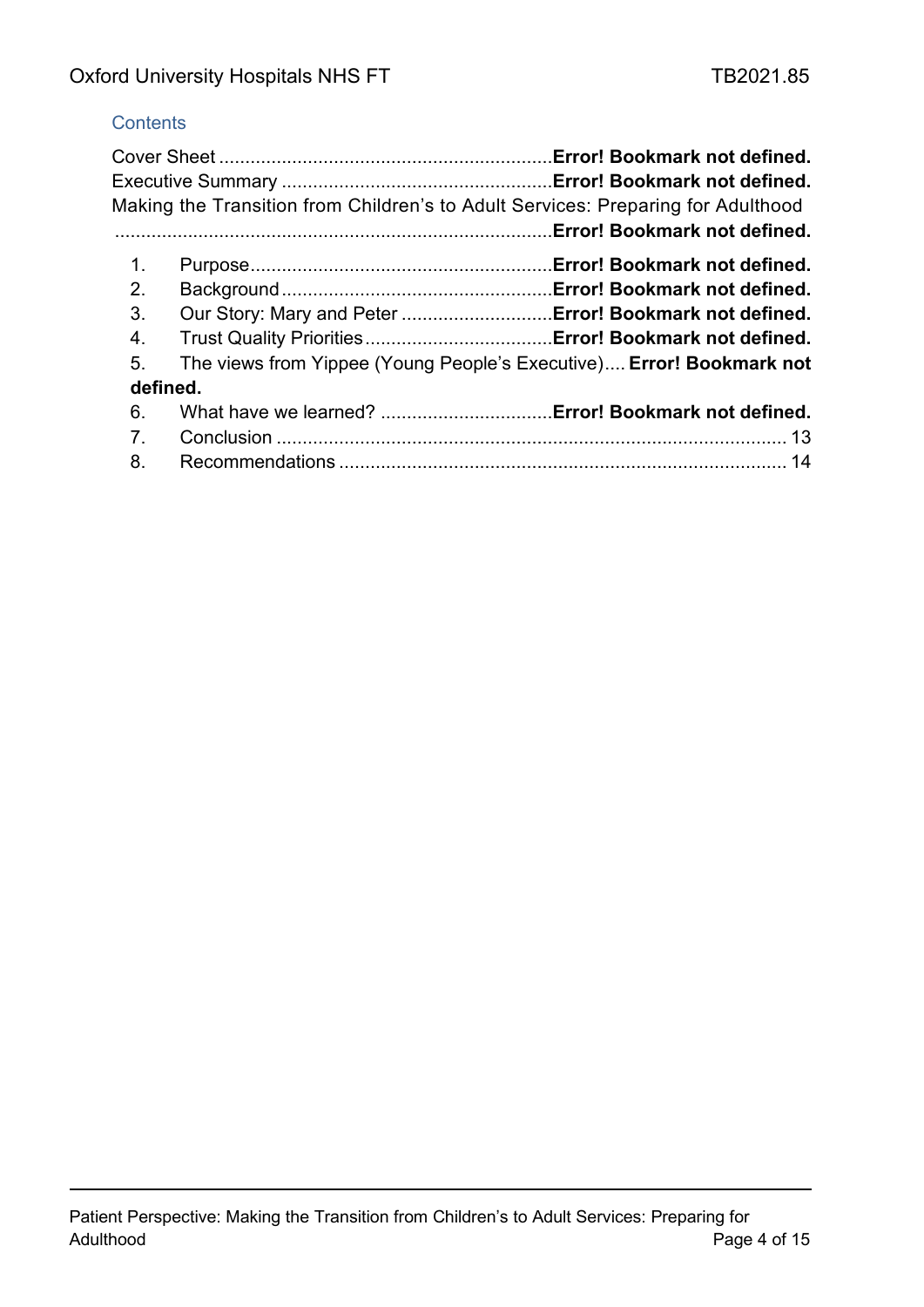## **Contents**

|          | Making the Transition from Children's to Adult Services: Preparing for Adulthood<br>Error! Bookmark not defined. |  |
|----------|------------------------------------------------------------------------------------------------------------------|--|
| 1.       |                                                                                                                  |  |
| 2.       |                                                                                                                  |  |
| 3.       | Our Story: Mary and Peter  Error! Bookmark not defined.                                                          |  |
| 4.       |                                                                                                                  |  |
| 5.       | The views from Yippee (Young People's Executive) Error! Bookmark not                                             |  |
| defined. |                                                                                                                  |  |
| 6.       |                                                                                                                  |  |
| 7.       |                                                                                                                  |  |
| 8.       |                                                                                                                  |  |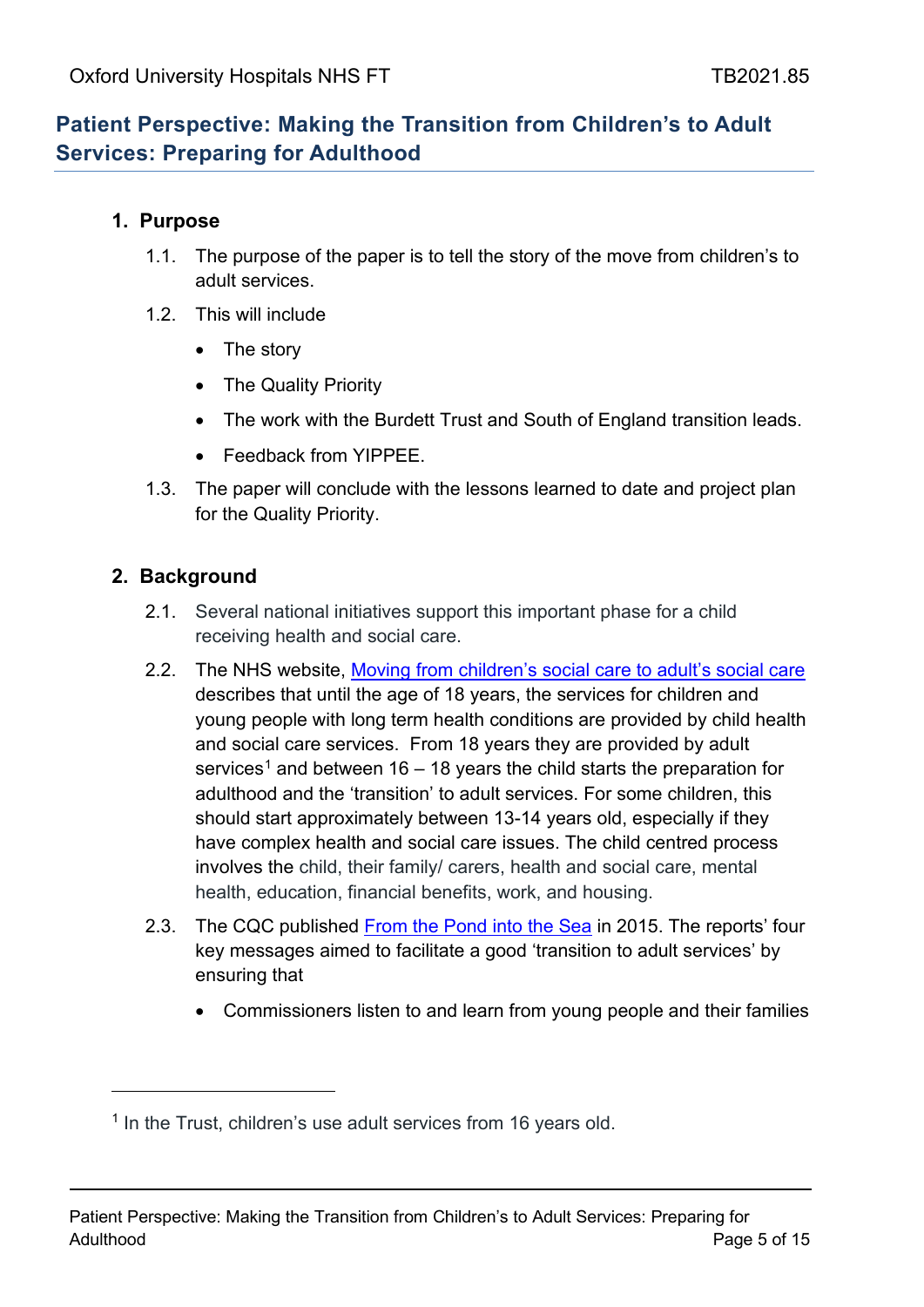# **Patient Perspective: Making the Transition from Children's to Adult Services: Preparing for Adulthood**

#### **1. Purpose**

- 1.1. The purpose of the paper is to tell the story of the move from children's to adult services.
- 1.2 This will include
	- The story
	- The Quality Priority
	- The work with the Burdett Trust and South of England transition leads.
	- Feedback from YIPPFF
- 1.3. The paper will conclude with the lessons learned to date and project plan for the Quality Priority.

#### **2. Background**

- 2.1. Several national initiatives support this important phase for a child receiving health and social care.
- 2.2. The NHS website, Moving from children's [social care to adult's social care](https://www.nhs.uk/conditions/social-care-and-support-guide/caring-for-children-and-young-people/moving-from-childrens-social-care-to-adults-social-care/) describes that until the age of 18 years, the services for children and young people with long term health conditions are provided by child health and social care services. From 18 years they are provided by adult services<sup>[1](#page-4-0)</sup> and between 16 – 18 years the child starts the preparation for adulthood and the 'transition' to adult services. For some children, this should start approximately between 13-14 years old, especially if they have complex health and social care issues. The child centred process involves the child, their family/ carers, health and social care, mental health, education, financial benefits, work, and housing.
- 2.3. The CQC published [From the Pond into the Sea](https://www.cqc.org.uk/sites/default/files/CQC_Transition%20Report_Summary_lores.pdf) in 2015. The reports' four key messages aimed to facilitate a good 'transition to adult services' by ensuring that
	- Commissioners listen to and learn from young people and their families

<span id="page-4-0"></span><sup>&</sup>lt;sup>1</sup> In the Trust, children's use adult services from 16 years old.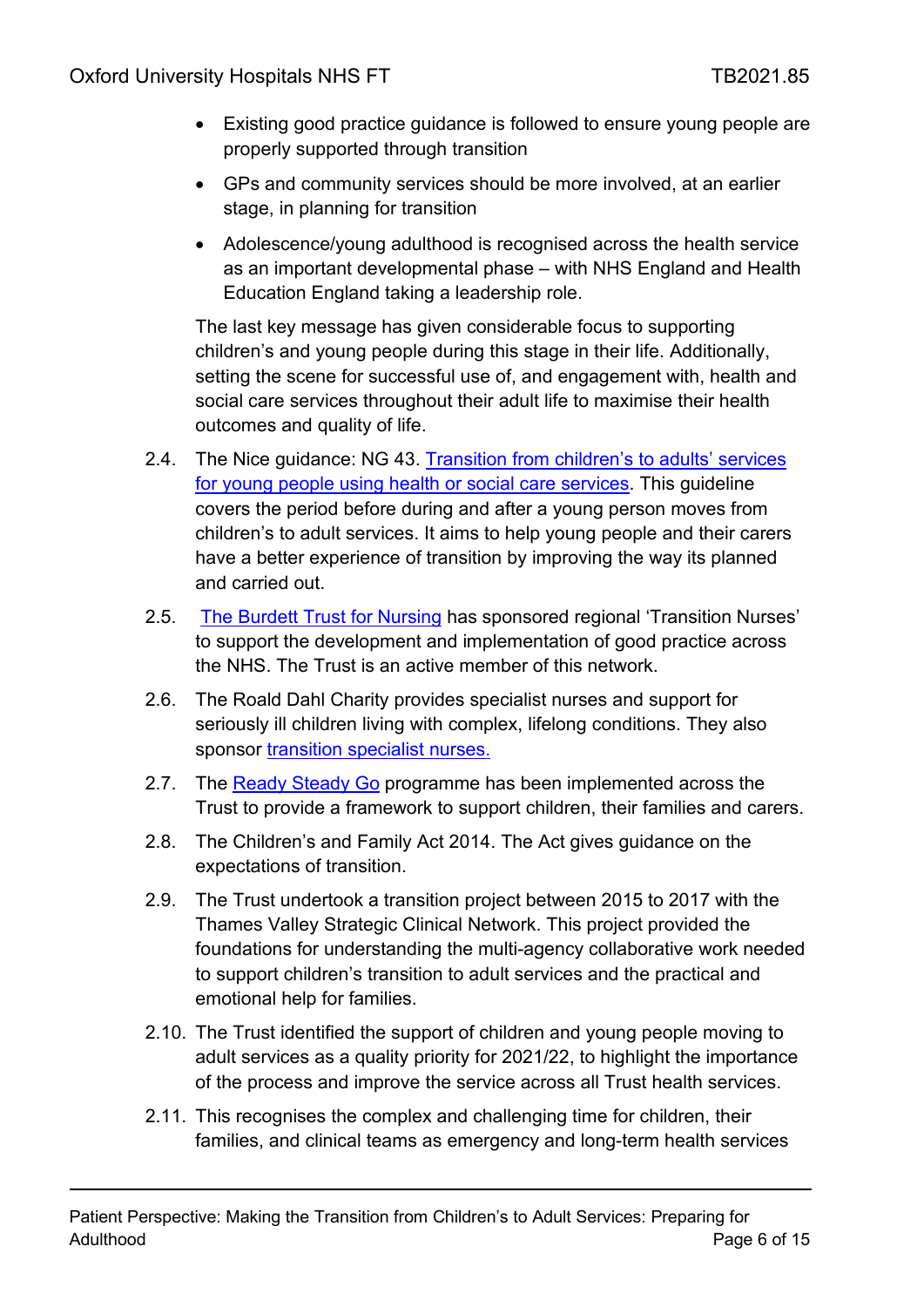- Existing good practice guidance is followed to ensure young people are properly supported through transition
- GPs and community services should be more involved, at an earlier stage, in planning for transition
- Adolescence/young adulthood is recognised across the health service as an important developmental phase – with NHS England and Health Education England taking a leadership role.

The last key message has given considerable focus to supporting children's and young people during this stage in their life. Additionally, setting the scene for successful use of, and engagement with, health and social care services throughout their adult life to maximise their health outcomes and quality of life.

- 2.4. The Nice guidance: NG 43. Transition from children's to adults' services for young people using health or social care services. This guideline covers the period before during and after a young person moves from children's to adult services. It aims to help young people and their carers have a better experience of transition by improving the way its planned and carried out.
- 2.5. [The Burdett Trust for Nursing](https://www.btfn.org.uk/) has sponsored regional 'Transition Nurses' to support the development and implementation of good practice across the NHS. The Trust is an active member of this network.
- 2.6. The Roald Dahl Charity provides specialist nurses and support for seriously ill children living with complex, lifelong conditions. They also sponsor [transition specialist nurses.](https://www.roalddahlcharity.org/what-we-do/roald-dahl-nurses/)
- 2.7. The [Ready Steady Go](https://www.nice.org.uk/sharedlearning/implementing-transition-care-locally-and-nationally-using-the-ready-steady-go-programme) programme has been implemented across the Trust to provide a framework to support children, their families and carers.
- 2.8. The Children's and Family Act 2014. The Act gives guidance on the expectations of transition.
- 2.9. The Trust undertook a transition project between 2015 to 2017 with the Thames Valley Strategic Clinical Network. This project provided the foundations for understanding the multi-agency collaborative work needed to support children's transition to adult services and the practical and emotional help for families.
- 2.10. The Trust identified the support of children and young people moving to adult services as a quality priority for 2021/22, to highlight the importance of the process and improve the service across all Trust health services.
- 2.11. This recognises the complex and challenging time for children, their families, and clinical teams as emergency and long-term health services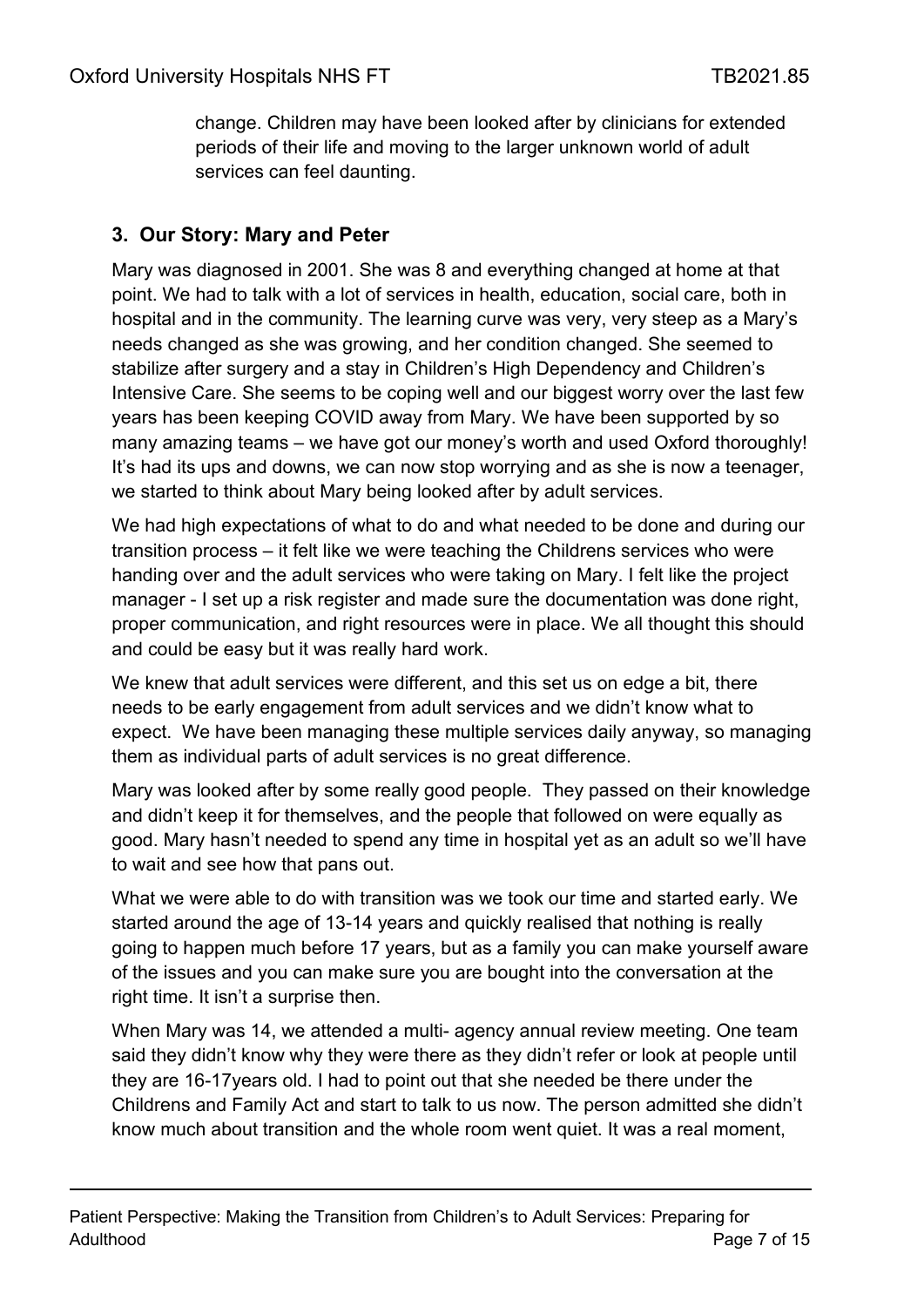change. Children may have been looked after by clinicians for extended periods of their life and moving to the larger unknown world of adult services can feel daunting.

## **3. Our Story: Mary and Peter**

Mary was diagnosed in 2001. She was 8 and everything changed at home at that point. We had to talk with a lot of services in health, education, social care, both in hospital and in the community. The learning curve was very, very steep as a Mary's needs changed as she was growing, and her condition changed. She seemed to stabilize after surgery and a stay in Children's High Dependency and Children's Intensive Care. She seems to be coping well and our biggest worry over the last few years has been keeping COVID away from Mary. We have been supported by so many amazing teams – we have got our money's worth and used Oxford thoroughly! It's had its ups and downs, we can now stop worrying and as she is now a teenager, we started to think about Mary being looked after by adult services.

We had high expectations of what to do and what needed to be done and during our transition process – it felt like we were teaching the Childrens services who were handing over and the adult services who were taking on Mary. I felt like the project manager - I set up a risk register and made sure the documentation was done right, proper communication, and right resources were in place. We all thought this should and could be easy but it was really hard work.

We knew that adult services were different, and this set us on edge a bit, there needs to be early engagement from adult services and we didn't know what to expect. We have been managing these multiple services daily anyway, so managing them as individual parts of adult services is no great difference.

Mary was looked after by some really good people. They passed on their knowledge and didn't keep it for themselves, and the people that followed on were equally as good. Mary hasn't needed to spend any time in hospital yet as an adult so we'll have to wait and see how that pans out.

What we were able to do with transition was we took our time and started early. We started around the age of 13-14 years and quickly realised that nothing is really going to happen much before 17 years, but as a family you can make yourself aware of the issues and you can make sure you are bought into the conversation at the right time. It isn't a surprise then.

When Mary was 14, we attended a multi- agency annual review meeting. One team said they didn't know why they were there as they didn't refer or look at people until they are 16-17years old. I had to point out that she needed be there under the Childrens and Family Act and start to talk to us now. The person admitted she didn't know much about transition and the whole room went quiet. It was a real moment,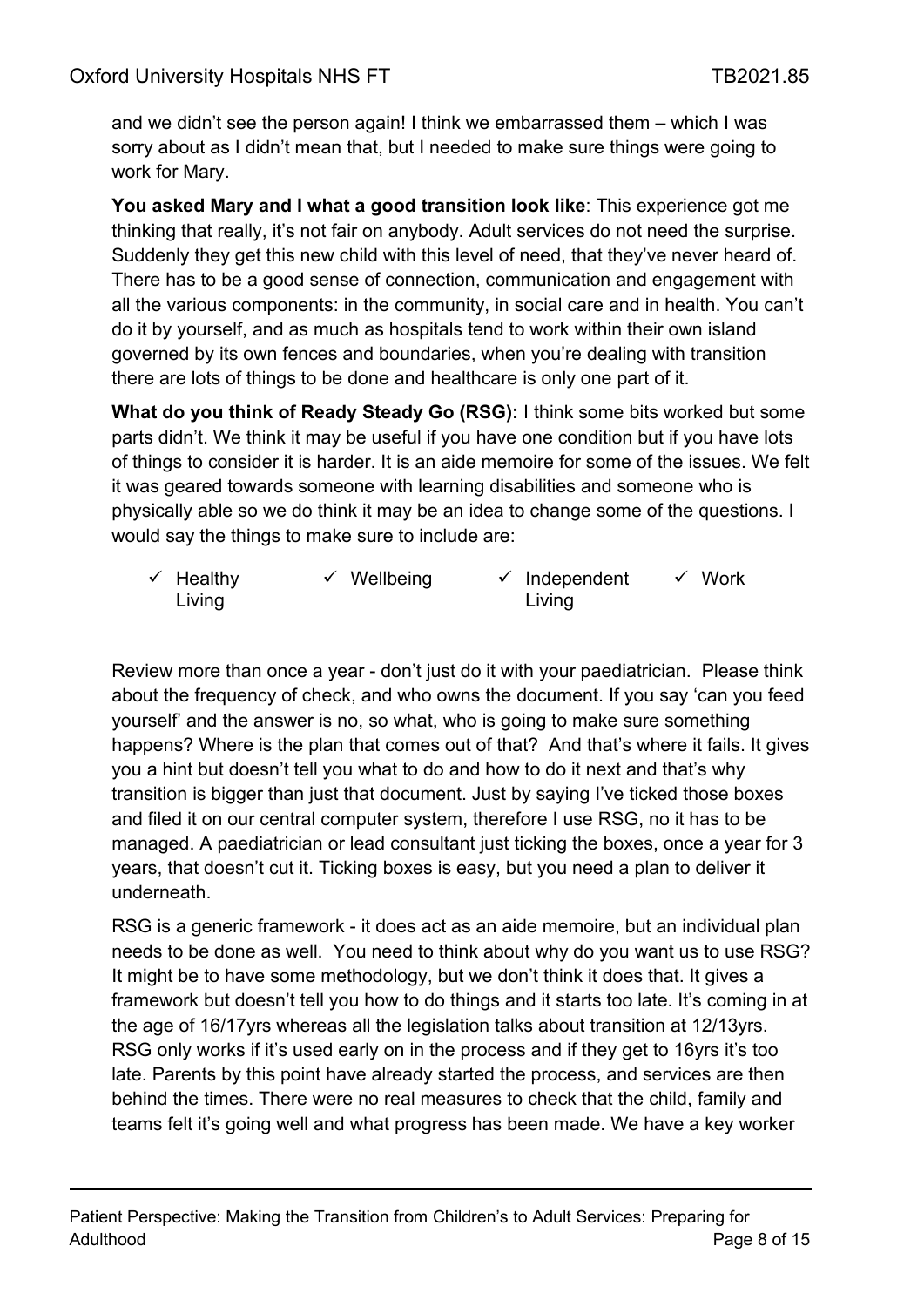and we didn't see the person again! I think we embarrassed them – which I was sorry about as I didn't mean that, but I needed to make sure things were going to work for Mary.

**You asked Mary and I what a good transition look like**: This experience got me thinking that really, it's not fair on anybody. Adult services do not need the surprise. Suddenly they get this new child with this level of need, that they've never heard of. There has to be a good sense of connection, communication and engagement with all the various components: in the community, in social care and in health. You can't do it by yourself, and as much as hospitals tend to work within their own island governed by its own fences and boundaries, when you're dealing with transition there are lots of things to be done and healthcare is only one part of it.

**What do you think of Ready Steady Go (RSG):** I think some bits worked but some parts didn't. We think it may be useful if you have one condition but if you have lots of things to consider it is harder. It is an aide memoire for some of the issues. We felt it was geared towards someone with learning disabilities and someone who is physically able so we do think it may be an idea to change some of the questions. I would say the things to make sure to include are:

| $\checkmark$ Healthy | $\checkmark$ Wellbeing | $\checkmark$ Independent | $\checkmark$ Work |
|----------------------|------------------------|--------------------------|-------------------|
| Living               |                        | Living                   |                   |

Review more than once a year - don't just do it with your paediatrician. Please think about the frequency of check, and who owns the document. If you say 'can you feed yourself' and the answer is no, so what, who is going to make sure something happens? Where is the plan that comes out of that? And that's where it fails. It gives you a hint but doesn't tell you what to do and how to do it next and that's why transition is bigger than just that document. Just by saying I've ticked those boxes and filed it on our central computer system, therefore I use RSG, no it has to be managed. A paediatrician or lead consultant just ticking the boxes, once a year for 3 years, that doesn't cut it. Ticking boxes is easy, but you need a plan to deliver it underneath.

RSG is a generic framework - it does act as an aide memoire, but an individual plan needs to be done as well. You need to think about why do you want us to use RSG? It might be to have some methodology, but we don't think it does that. It gives a framework but doesn't tell you how to do things and it starts too late. It's coming in at the age of 16/17yrs whereas all the legislation talks about transition at 12/13yrs. RSG only works if it's used early on in the process and if they get to 16yrs it's too late. Parents by this point have already started the process, and services are then behind the times. There were no real measures to check that the child, family and teams felt it's going well and what progress has been made. We have a key worker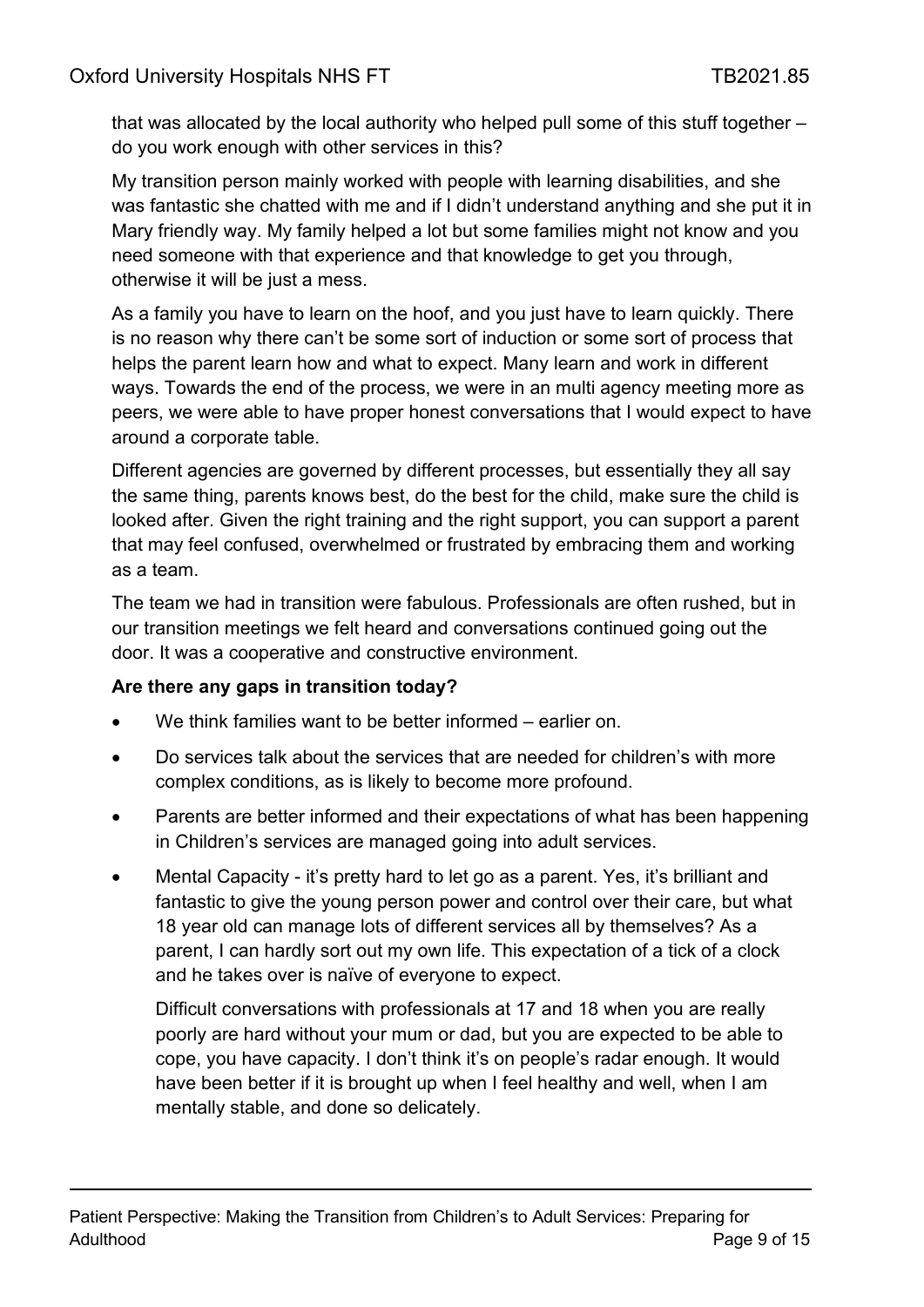that was allocated by the local authority who helped pull some of this stuff together – do you work enough with other services in this?

My transition person mainly worked with people with learning disabilities, and she was fantastic she chatted with me and if I didn't understand anything and she put it in Mary friendly way. My family helped a lot but some families might not know and you need someone with that experience and that knowledge to get you through, otherwise it will be just a mess.

As a family you have to learn on the hoof, and you just have to learn quickly. There is no reason why there can't be some sort of induction or some sort of process that helps the parent learn how and what to expect. Many learn and work in different ways. Towards the end of the process, we were in an multi agency meeting more as peers, we were able to have proper honest conversations that I would expect to have around a corporate table.

Different agencies are governed by different processes, but essentially they all say the same thing, parents knows best, do the best for the child, make sure the child is looked after. Given the right training and the right support, you can support a parent that may feel confused, overwhelmed or frustrated by embracing them and working as a team.

The team we had in transition were fabulous. Professionals are often rushed, but in our transition meetings we felt heard and conversations continued going out the door. It was a cooperative and constructive environment.

#### **Are there any gaps in transition today?**

- We think families want to be better informed earlier on.
- Do services talk about the services that are needed for children's with more complex conditions, as is likely to become more profound.
- Parents are better informed and their expectations of what has been happening in Children's services are managed going into adult services.
- Mental Capacity it's pretty hard to let go as a parent. Yes, it's brilliant and fantastic to give the young person power and control over their care, but what 18 year old can manage lots of different services all by themselves? As a parent, I can hardly sort out my own life. This expectation of a tick of a clock and he takes over is naïve of everyone to expect.

Difficult conversations with professionals at 17 and 18 when you are really poorly are hard without your mum or dad, but you are expected to be able to cope, you have capacity. I don't think it's on people's radar enough. It would have been better if it is brought up when I feel healthy and well, when I am mentally stable, and done so delicately.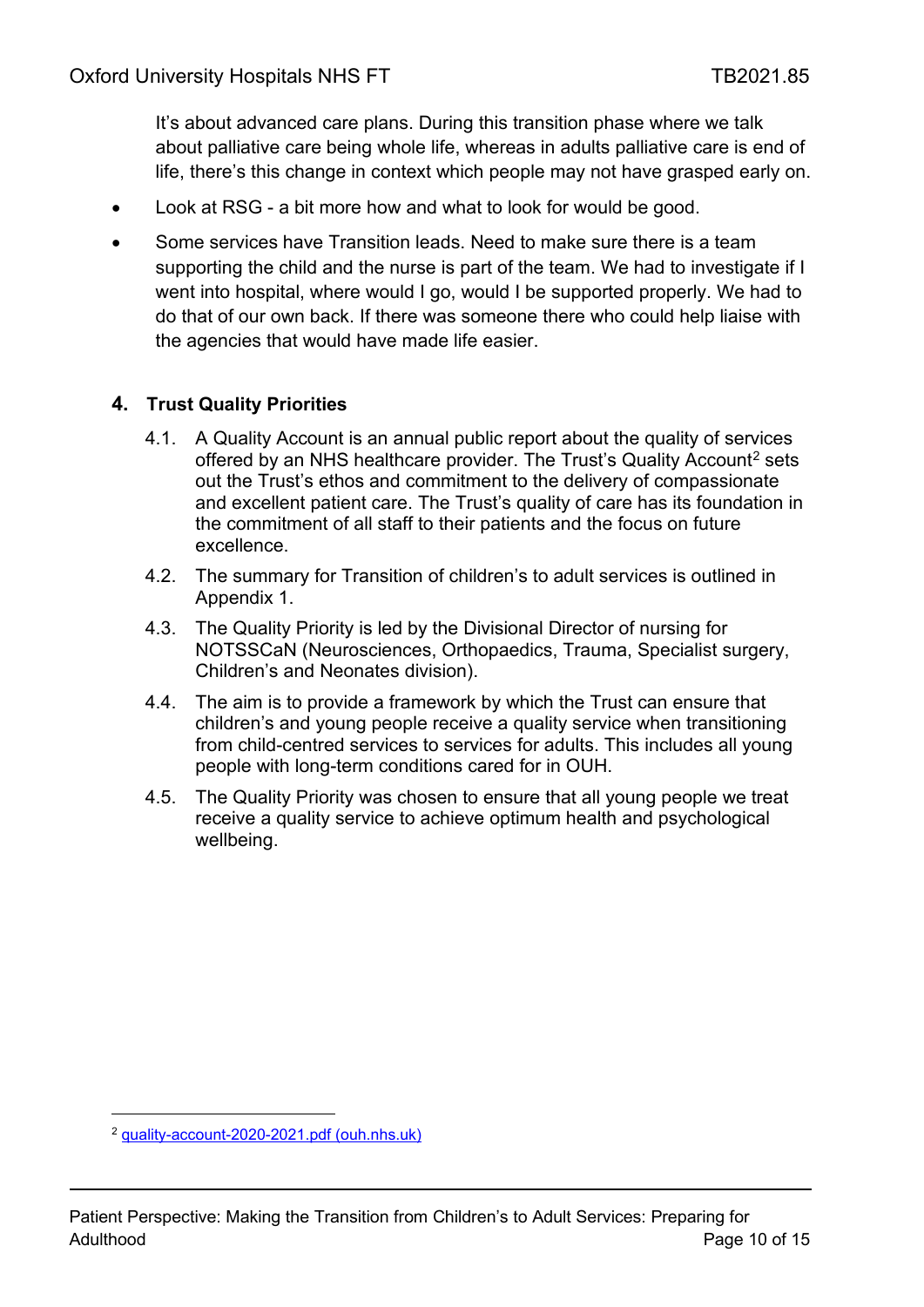It's about advanced care plans. During this transition phase where we talk about palliative care being whole life, whereas in adults palliative care is end of life, there's this change in context which people may not have grasped early on.

- Look at RSG a bit more how and what to look for would be good.
- Some services have Transition leads. Need to make sure there is a team supporting the child and the nurse is part of the team. We had to investigate if I went into hospital, where would I go, would I be supported properly. We had to do that of our own back. If there was someone there who could help liaise with the agencies that would have made life easier.

#### **4. Trust Quality Priorities**

- 4.1. A Quality Account is an annual public report about the quality of services offered by an NHS healthcare provider. The Trust's Quality Account<sup>[2](#page-9-0)</sup> sets out the Trust's ethos and commitment to the delivery of compassionate and excellent patient care. The Trust's quality of care has its foundation in the commitment of all staff to their patients and the focus on future excellence.
- 4.2. The summary for Transition of children's to adult services is outlined in Appendix 1.
- 4.3. The Quality Priority is led by the Divisional Director of nursing for NOTSSCaN (Neurosciences, Orthopaedics, Trauma, Specialist surgery, Children's and Neonates division).
- 4.4. The aim is to provide a framework by which the Trust can ensure that children's and young people receive a quality service when transitioning from child-centred services to services for adults. This includes all young people with long-term conditions cared for in OUH.
- 4.5. The Quality Priority was chosen to ensure that all young people we treat receive a quality service to achieve optimum health and psychological wellbeing.

<span id="page-9-0"></span><sup>2</sup> [quality-account-2020-2021.pdf \(ouh.nhs.uk\)](https://www.ouh.nhs.uk/about/publications/documents/quality-account-2020-2021.pdf)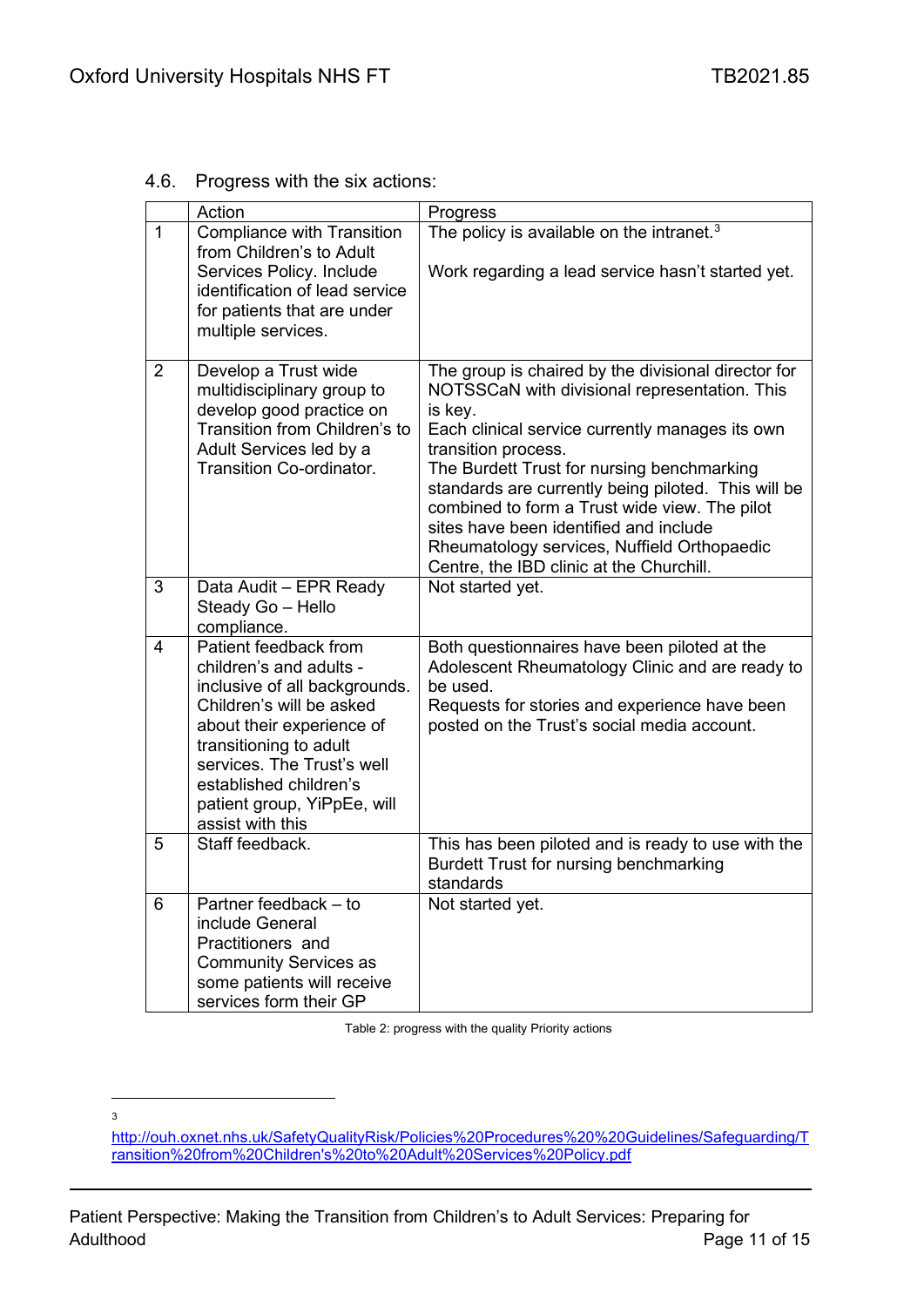4.6. Progress with the six actions:

|                | Action                                                                                                                                                                                                                                                                          | Progress                                                                                                                                                                                                                                                                                                                                                                                                                                                                             |
|----------------|---------------------------------------------------------------------------------------------------------------------------------------------------------------------------------------------------------------------------------------------------------------------------------|--------------------------------------------------------------------------------------------------------------------------------------------------------------------------------------------------------------------------------------------------------------------------------------------------------------------------------------------------------------------------------------------------------------------------------------------------------------------------------------|
| $\mathbf{1}$   | Compliance with Transition<br>from Children's to Adult<br>Services Policy. Include<br>identification of lead service<br>for patients that are under<br>multiple services.                                                                                                       | The policy is available on the intranet. <sup>3</sup><br>Work regarding a lead service hasn't started yet.                                                                                                                                                                                                                                                                                                                                                                           |
| $\overline{2}$ | Develop a Trust wide<br>multidisciplinary group to<br>develop good practice on<br>Transition from Children's to<br>Adult Services led by a<br>Transition Co-ordinator.                                                                                                          | The group is chaired by the divisional director for<br>NOTSSCaN with divisional representation. This<br>is key.<br>Each clinical service currently manages its own<br>transition process.<br>The Burdett Trust for nursing benchmarking<br>standards are currently being piloted. This will be<br>combined to form a Trust wide view. The pilot<br>sites have been identified and include<br>Rheumatology services, Nuffield Orthopaedic<br>Centre, the IBD clinic at the Churchill. |
| 3              | Data Audit - EPR Ready<br>Steady Go - Hello<br>compliance.                                                                                                                                                                                                                      | Not started yet.                                                                                                                                                                                                                                                                                                                                                                                                                                                                     |
| 4              | Patient feedback from<br>children's and adults -<br>inclusive of all backgrounds.<br>Children's will be asked<br>about their experience of<br>transitioning to adult<br>services. The Trust's well<br>established children's<br>patient group, YiPpEe, will<br>assist with this | Both questionnaires have been piloted at the<br>Adolescent Rheumatology Clinic and are ready to<br>be used.<br>Requests for stories and experience have been<br>posted on the Trust's social media account.                                                                                                                                                                                                                                                                          |
| 5              | Staff feedback.                                                                                                                                                                                                                                                                 | This has been piloted and is ready to use with the<br>Burdett Trust for nursing benchmarking<br>standards                                                                                                                                                                                                                                                                                                                                                                            |
| 6              | Partner feedback - to<br>include General<br>Practitioners and<br><b>Community Services as</b><br>some patients will receive<br>services form their GP                                                                                                                           | Not started yet.                                                                                                                                                                                                                                                                                                                                                                                                                                                                     |

Table 2: progress with the quality Priority actions

3

<span id="page-10-0"></span>[http://ouh.oxnet.nhs.uk/SafetyQualityRisk/Policies%20Procedures%20%20Guidelines/Safeguarding/T](http://ouh.oxnet.nhs.uk/SafetyQualityRisk/Policies%20Procedures%20%20Guidelines/Safeguarding/Transition%20from%20Children) [ransition%20from%20Children's%20to%20Adult%20Services%20Policy.pdf](http://ouh.oxnet.nhs.uk/SafetyQualityRisk/Policies%20Procedures%20%20Guidelines/Safeguarding/Transition%20from%20Children)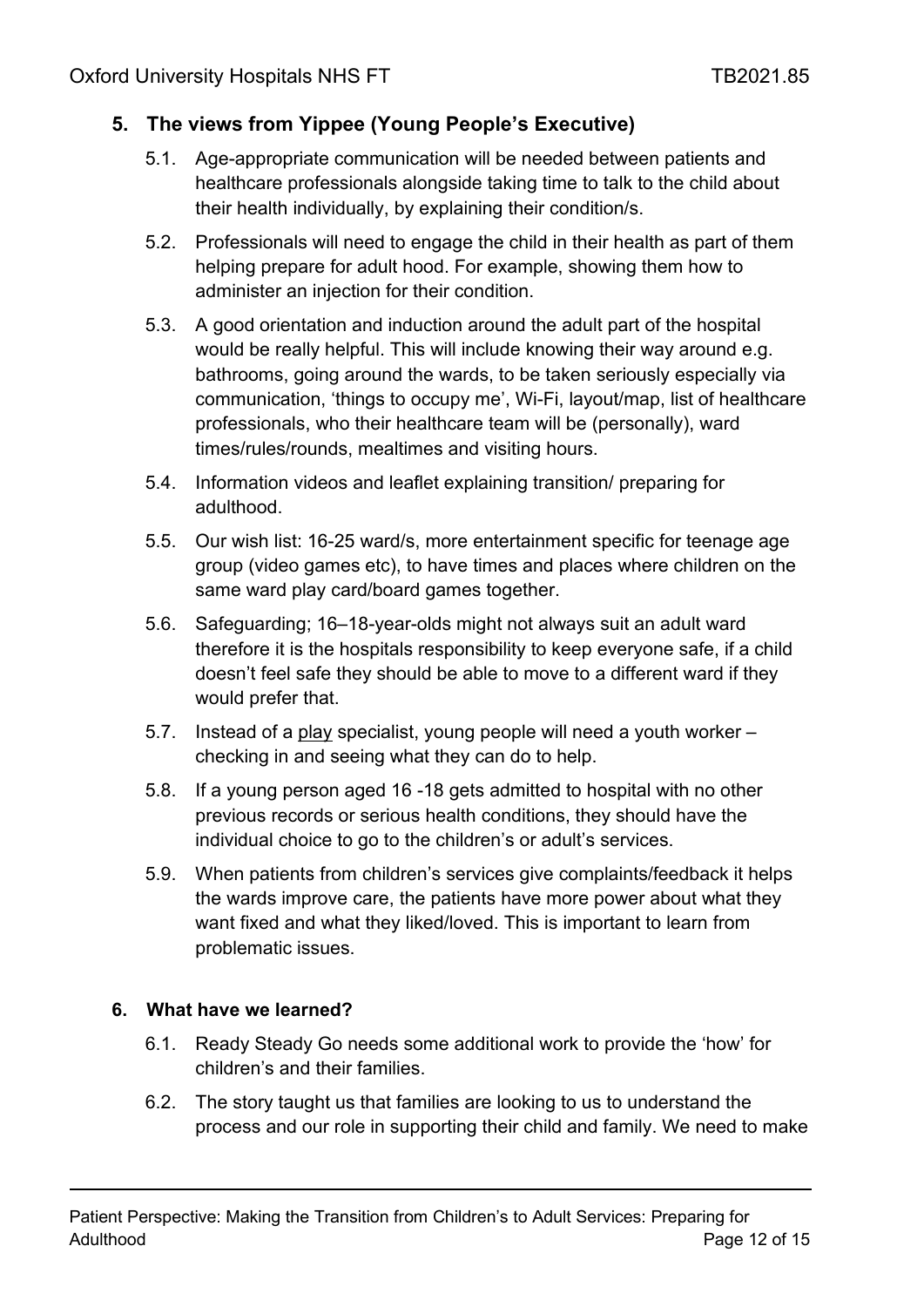# **5. The views from Yippee (Young People's Executive)**

- 5.1. Age-appropriate communication will be needed between patients and healthcare professionals alongside taking time to talk to the child about their health individually, by explaining their condition/s.
- 5.2. Professionals will need to engage the child in their health as part of them helping prepare for adult hood. For example, showing them how to administer an injection for their condition.
- 5.3. A good orientation and induction around the adult part of the hospital would be really helpful. This will include knowing their way around e.g. bathrooms, going around the wards, to be taken seriously especially via communication, 'things to occupy me', Wi-Fi, layout/map, list of healthcare professionals, who their healthcare team will be (personally), ward times/rules/rounds, mealtimes and visiting hours.
- 5.4. Information videos and leaflet explaining transition/ preparing for adulthood.
- 5.5. Our wish list: 16-25 ward/s, more entertainment specific for teenage age group (video games etc), to have times and places where children on the same ward play card/board games together.
- 5.6. Safeguarding; 16–18-year-olds might not always suit an adult ward therefore it is the hospitals responsibility to keep everyone safe, if a child doesn't feel safe they should be able to move to a different ward if they would prefer that.
- 5.7. Instead of a play specialist, young people will need a youth worker checking in and seeing what they can do to help.
- 5.8. If a young person aged 16 -18 gets admitted to hospital with no other previous records or serious health conditions, they should have the individual choice to go to the children's or adult's services.
- 5.9. When patients from children's services give complaints/feedback it helps the wards improve care, the patients have more power about what they want fixed and what they liked/loved. This is important to learn from problematic issues.

#### **6. What have we learned?**

- 6.1. Ready Steady Go needs some additional work to provide the 'how' for children's and their families.
- 6.2. The story taught us that families are looking to us to understand the process and our role in supporting their child and family. We need to make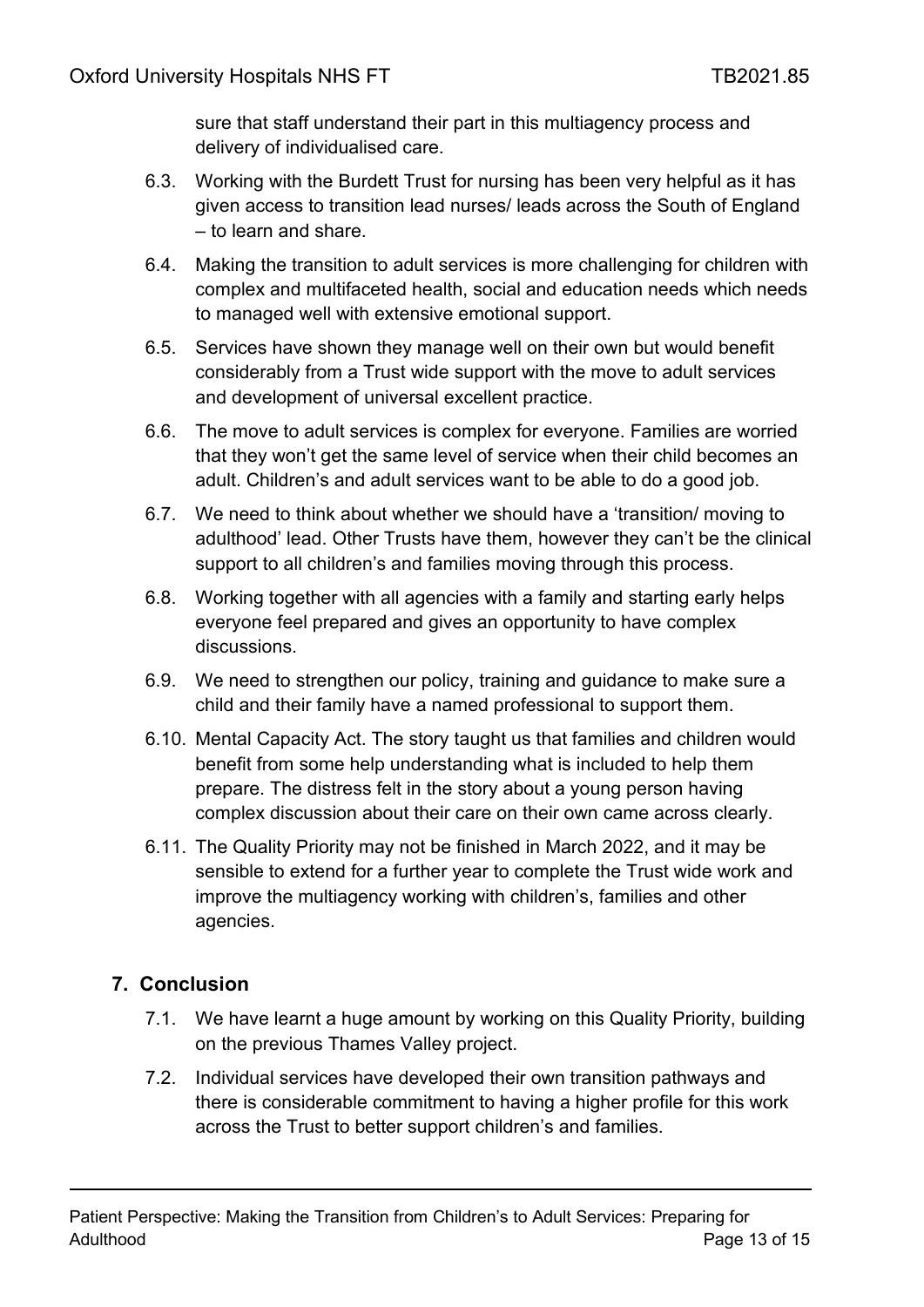sure that staff understand their part in this multiagency process and delivery of individualised care.

- 6.3. Working with the Burdett Trust for nursing has been very helpful as it has given access to transition lead nurses/ leads across the South of England – to learn and share.
- 6.4. Making the transition to adult services is more challenging for children with complex and multifaceted health, social and education needs which needs to managed well with extensive emotional support.
- 6.5. Services have shown they manage well on their own but would benefit considerably from a Trust wide support with the move to adult services and development of universal excellent practice.
- 6.6. The move to adult services is complex for everyone. Families are worried that they won't get the same level of service when their child becomes an adult. Children's and adult services want to be able to do a good job.
- 6.7. We need to think about whether we should have a 'transition/ moving to adulthood' lead. Other Trusts have them, however they can't be the clinical support to all children's and families moving through this process.
- 6.8. Working together with all agencies with a family and starting early helps everyone feel prepared and gives an opportunity to have complex discussions.
- 6.9. We need to strengthen our policy, training and guidance to make sure a child and their family have a named professional to support them.
- 6.10. Mental Capacity Act. The story taught us that families and children would benefit from some help understanding what is included to help them prepare. The distress felt in the story about a young person having complex discussion about their care on their own came across clearly.
- 6.11. The Quality Priority may not be finished in March 2022, and it may be sensible to extend for a further year to complete the Trust wide work and improve the multiagency working with children's, families and other agencies.

# <span id="page-12-0"></span>**7. Conclusion**

- 7.1. We have learnt a huge amount by working on this Quality Priority, building on the previous Thames Valley project.
- 7.2. Individual services have developed their own transition pathways and there is considerable commitment to having a higher profile for this work across the Trust to better support children's and families.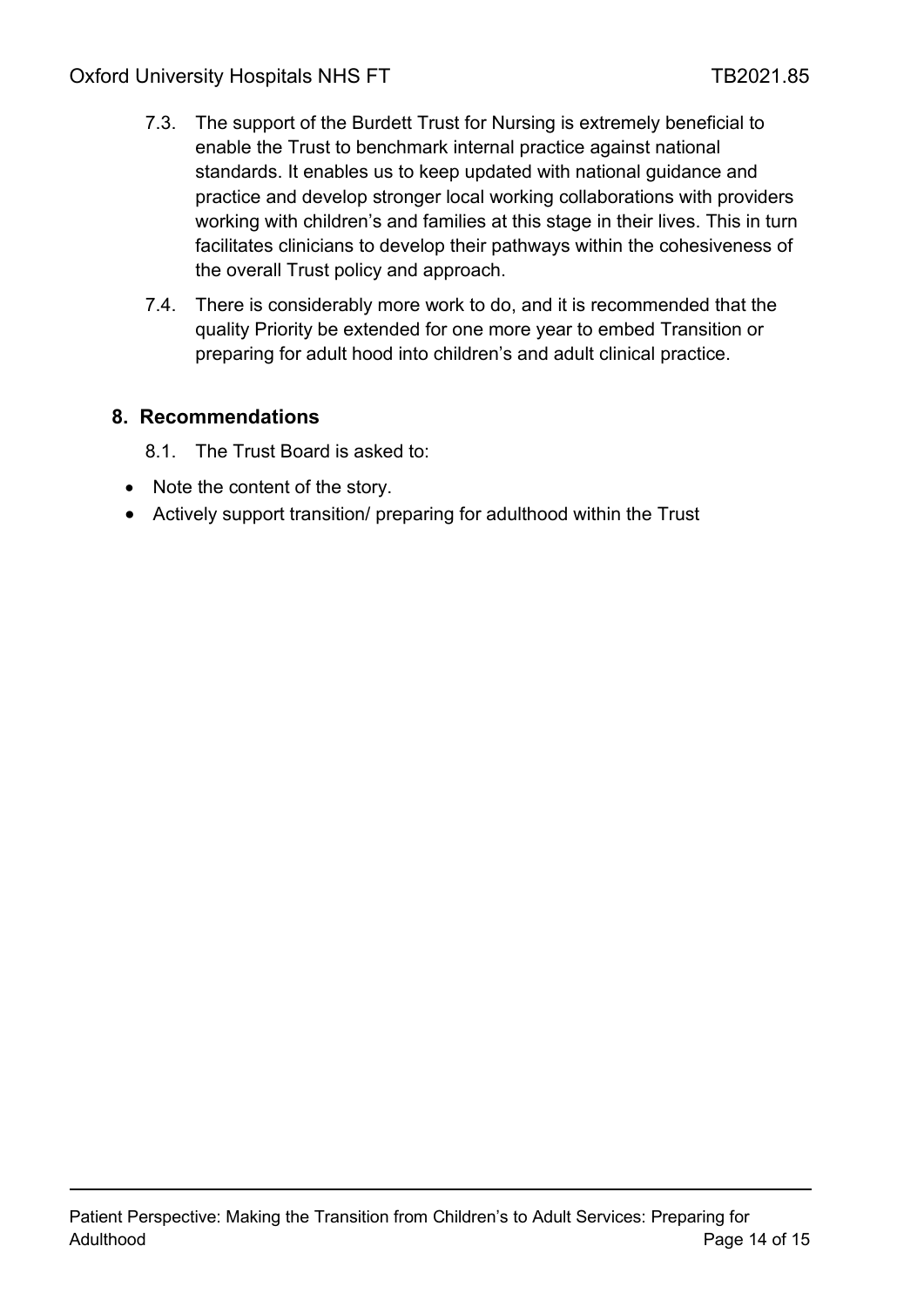- 7.3. The support of the Burdett Trust for Nursing is extremely beneficial to enable the Trust to benchmark internal practice against national standards. It enables us to keep updated with national guidance and practice and develop stronger local working collaborations with providers working with children's and families at this stage in their lives. This in turn facilitates clinicians to develop their pathways within the cohesiveness of the overall Trust policy and approach.
- 7.4. There is considerably more work to do, and it is recommended that the quality Priority be extended for one more year to embed Transition or preparing for adult hood into children's and adult clinical practice.

#### <span id="page-13-0"></span>**8. Recommendations**

8.1. The Trust Board is asked to:

- Note the content of the story.
- Actively support transition/ preparing for adulthood within the Trust